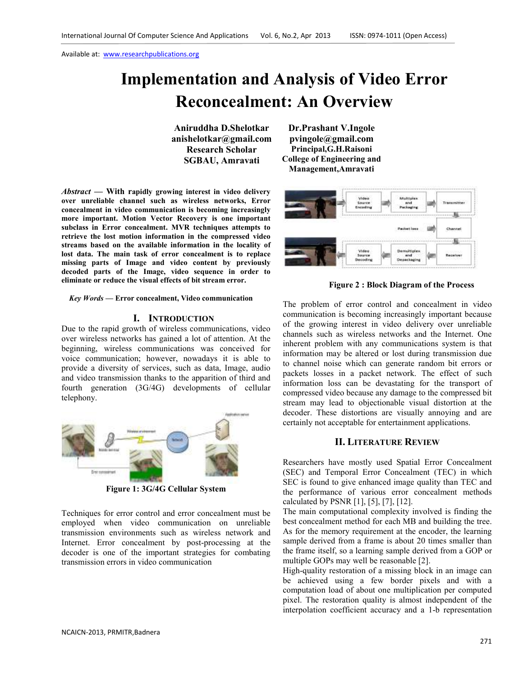# **Implementation and Analysis of Video Error Reconcealment: An Overview**

**Aniruddha D.Shelotkar anishelotkar@gmail.com Research Scholar SGBAU, Amravati** 

*Abstract* **— With rapidly growing interest in video delivery over unreliable channel such as wireless networks, Error concealment in video communication is becoming increasingly more important. Motion Vector Recovery is one important subclass in Error concealment. MVR techniques attempts to retrieve the lost motion information in the compressed video streams based on the available information in the locality of lost data. The main task of error concealment is to replace missing parts of Image and video content by previously decoded parts of the Image, video sequence in order to eliminate or reduce the visual effects of bit stream error.** 

## *Key Words* **— Error concealment, Video communication**

## **I. INTRODUCTION**

Due to the rapid growth of wireless communications, video over wireless networks has gained a lot of attention. At the beginning, wireless communications was conceived for voice communication; however, nowadays it is able to provide a diversity of services, such as data, Image, audio and video transmission thanks to the apparition of third and fourth generation (3G/4G) developments of cellular telephony.



**Figure 1: 3G/4G Cellular System** 

Techniques for error control and error concealment must be employed when video communication on unreliable transmission environments such as wireless network and Internet. Error concealment by post-processing at the decoder is one of the important strategies for combating transmission errors in video communication

**Dr.Prashant V.Ingole pvingole@gmail.com Principal,G.H.Raisoni College of Engineering and Management,Amravati** 



**Figure 2 : Block Diagram of the Process** 

The problem of error control and concealment in video communication is becoming increasingly important because of the growing interest in video delivery over unreliable channels such as wireless networks and the Internet. One inherent problem with any communications system is that information may be altered or lost during transmission due to channel noise which can generate random bit errors or packets losses in a packet network. The effect of such information loss can be devastating for the transport of compressed video because any damage to the compressed bit stream may lead to objectionable visual distortion at the decoder. These distortions are visually annoying and are certainly not acceptable for entertainment applications.

## **II. LITERATURE REVIEW**

Researchers have mostly used Spatial Error Concealment (SEC) and Temporal Error Concealment (TEC) in which SEC is found to give enhanced image quality than TEC and the performance of various error concealment methods calculated by PSNR [1], [5], [7], [12].

The main computational complexity involved is finding the best concealment method for each MB and building the tree. As for the memory requirement at the encoder, the learning sample derived from a frame is about 20 times smaller than the frame itself, so a learning sample derived from a GOP or multiple GOPs may well be reasonable [2].

High-quality restoration of a missing block in an image can be achieved using a few border pixels and with a computation load of about one multiplication per computed pixel. The restoration quality is almost independent of the interpolation coefficient accuracy and a 1-b representation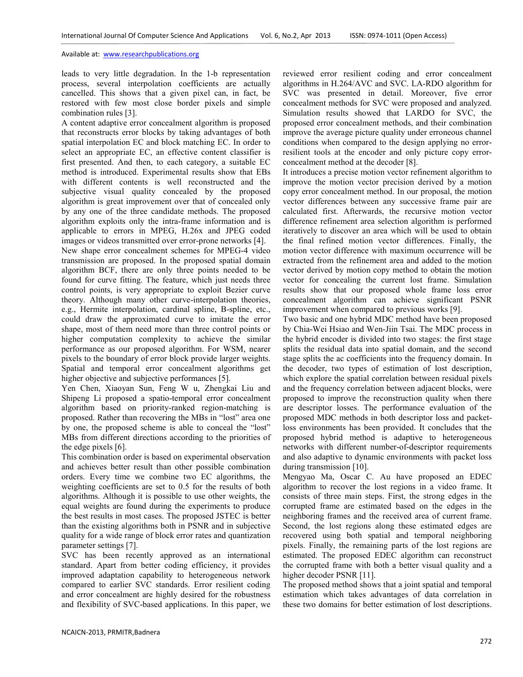leads to very little degradation. In the 1-b representation process, several interpolation coefficients are actually cancelled. This shows that a given pixel can, in fact, be restored with few most close border pixels and simple combination rules [3].

A content adaptive error concealment algorithm is proposed that reconstructs error blocks by taking advantages of both spatial interpolation EC and block matching EC. In order to select an appropriate EC, an effective content classifier is first presented. And then, to each category, a suitable EC method is introduced. Experimental results show that EBs with different contents is well reconstructed and the subjective visual quality concealed by the proposed algorithm is great improvement over that of concealed only by any one of the three candidate methods. The proposed algorithm exploits only the intra-frame information and is applicable to errors in MPEG, H.26x and JPEG coded images or videos transmitted over error-prone networks [4]. New shape error concealment schemes for MPEG-4 video transmission are proposed. In the proposed spatial domain algorithm BCF, there are only three points needed to be found for curve fitting. The feature, which just needs three control points, is very appropriate to exploit Bezier curve theory. Although many other curve-interpolation theories, e.g., Hermite interpolation, cardinal spline, B-spline, etc., could draw the approximated curve to imitate the error shape, most of them need more than three control points or higher computation complexity to achieve the similar performance as our proposed algorithm. For WSM, nearer pixels to the boundary of error block provide larger weights. Spatial and temporal error concealment algorithms get higher objective and subjective performances [5].

Yen Chen, Xiaoyan Sun, Feng W u, Zhengkai Liu and Shipeng Li proposed a spatio-temporal error concealment algorithm based on priority-ranked region-matching is proposed. Rather than recovering the MBs in "lost" area one by one, the proposed scheme is able to conceal the "lost" MBs from different directions according to the priorities of the edge pixels [6].

This combination order is based on experimental observation and achieves better result than other possible combination orders. Every time we combine two EC algorithms, the weighting coefficients are set to 0.5 for the results of both algorithms. Although it is possible to use other weights, the equal weights are found during the experiments to produce the best results in most cases. The proposed JSTEC is better than the existing algorithms both in PSNR and in subjective quality for a wide range of block error rates and quantization parameter settings [7].

SVC has been recently approved as an international standard. Apart from better coding efficiency, it provides improved adaptation capability to heterogeneous network compared to earlier SVC standards. Error resilient coding and error concealment are highly desired for the robustness and flexibility of SVC-based applications. In this paper, we reviewed error resilient coding and error concealment algorithms in H.264/AVC and SVC. LA-RDO algorithm for SVC was presented in detail. Moreover, five error concealment methods for SVC were proposed and analyzed. Simulation results showed that LARDO for SVC, the proposed error concealment methods, and their combination improve the average picture quality under erroneous channel conditions when compared to the design applying no errorresilient tools at the encoder and only picture copy errorconcealment method at the decoder [8].

It introduces a precise motion vector refinement algorithm to improve the motion vector precision derived by a motion copy error concealment method. In our proposal, the motion vector differences between any successive frame pair are calculated first. Afterwards, the recursive motion vector difference refinement area selection algorithm is performed iteratively to discover an area which will be used to obtain the final refined motion vector differences. Finally, the motion vector difference with maximum occurrence will be extracted from the refinement area and added to the motion vector derived by motion copy method to obtain the motion vector for concealing the current lost frame. Simulation results show that our proposed whole frame loss error concealment algorithm can achieve significant PSNR improvement when compared to previous works [9].

Two basic and one hybrid MDC method have been proposed by Chia-Wei Hsiao and Wen-Jiin Tsai. The MDC process in the hybrid encoder is divided into two stages: the first stage splits the residual data into spatial domain, and the second stage splits the ac coefficients into the frequency domain. In the decoder, two types of estimation of lost description, which explore the spatial correlation between residual pixels and the frequency correlation between adjacent blocks, were proposed to improve the reconstruction quality when there are descriptor losses. The performance evaluation of the proposed MDC methods in both descriptor loss and packetloss environments has been provided. It concludes that the proposed hybrid method is adaptive to heterogeneous networks with different number-of-descriptor requirements and also adaptive to dynamic environments with packet loss during transmission [10].

Mengyao Ma, Oscar C. Au have proposed an EDEC algorithm to recover the lost regions in a video frame. It consists of three main steps. First, the strong edges in the corrupted frame are estimated based on the edges in the neighboring frames and the received area of current frame. Second, the lost regions along these estimated edges are recovered using both spatial and temporal neighboring pixels. Finally, the remaining parts of the lost regions are estimated. The proposed EDEC algorithm can reconstruct the corrupted frame with both a better visual quality and a higher decoder PSNR [11].

The proposed method shows that a joint spatial and temporal estimation which takes advantages of data correlation in these two domains for better estimation of lost descriptions.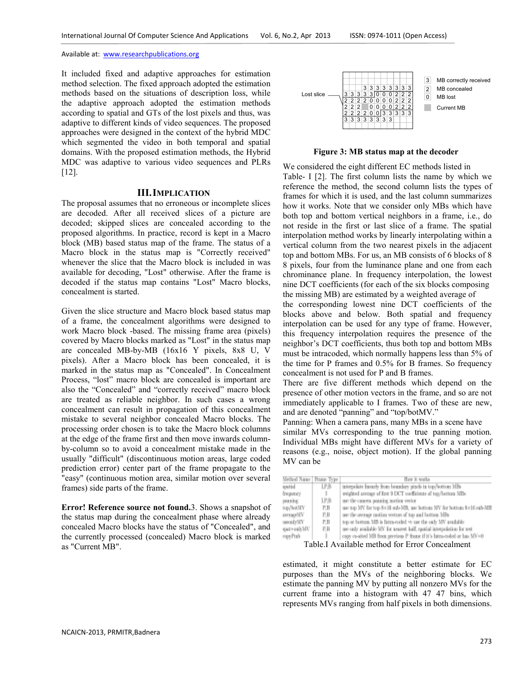It included fixed and adaptive approaches for estimation method selection. The fixed approach adopted the estimation methods based on the situations of description loss, while the adaptive approach adopted the estimation methods according to spatial and GTs of the lost pixels and thus, was adaptive to different kinds of video sequences. The proposed approaches were designed in the context of the hybrid MDC which segmented the video in both temporal and spatial domains. With the proposed estimation methods, the Hybrid MDC was adaptive to various video sequences and PLRs [12].

# **III.IMPLICATION**

The proposal assumes that no erroneous or incomplete slices are decoded. After all received slices of a picture are decoded; skipped slices are concealed according to the proposed algorithms. In practice, record is kept in a Macro block (MB) based status map of the frame. The status of a Macro block in the status map is "Correctly received" whenever the slice that the Macro block is included in was available for decoding, "Lost" otherwise. After the frame is decoded if the status map contains "Lost" Macro blocks, concealment is started.

Given the slice structure and Macro block based status map of a frame, the concealment algorithms were designed to work Macro block -based. The missing frame area (pixels) covered by Macro blocks marked as "Lost" in the status map are concealed MB-by-MB (16x16 Y pixels, 8x8 U, V pixels). After a Macro block has been concealed, it is marked in the status map as "Concealed". In Concealment Process, "lost" macro block are concealed is important are also the "Concealed" and "correctly received" macro block are treated as reliable neighbor. In such cases a wrong concealment can result in propagation of this concealment mistake to several neighbor concealed Macro blocks. The processing order chosen is to take the Macro block columns at the edge of the frame first and then move inwards columnby-column so to avoid a concealment mistake made in the usually "difficult" (discontinuous motion areas, large coded prediction error) center part of the frame propagate to the "easy" (continuous motion area, similar motion over several frames) side parts of the frame.

**Error! Reference source not found.**3. Shows a snapshot of the status map during the concealment phase where already concealed Macro blocks have the status of "Concealed", and the currently processed (concealed) Macro block is marked as "Current MB".



### **Figure 3: MB status map at the decoder**

We considered the eight different EC methods listed in Table- I [2]. The first column lists the name by which we reference the method, the second column lists the types of frames for which it is used, and the last column summarizes how it works. Note that we consider only MBs which have both top and bottom vertical neighbors in a frame, i.e., do not reside in the first or last slice of a frame. The spatial interpolation method works by linearly interpolating within a vertical column from the two nearest pixels in the adjacent top and bottom MBs. For us, an MB consists of 6 blocks of 8 8 pixels, four from the luminance plane and one from each chrominance plane. In frequency interpolation, the lowest nine DCT coefficients (for each of the six blocks composing the missing MB) are estimated by a weighted average of

the corresponding lowest nine DCT coefficients of the blocks above and below. Both spatial and frequency interpolation can be used for any type of frame. However, this frequency interpolation requires the presence of the neighbor's DCT coefficients, thus both top and bottom MBs must be intracoded, which normally happens less than 5% of the time for P frames and 0.5% for B frames. So frequency concealment is not used for P and B frames.

There are five different methods which depend on the presence of other motion vectors in the frame, and so are not immediately applicable to I frames. Two of these are new, and are denoted "panning" and "top/botMV."

Panning: When a camera pans, many MBs in a scene have similar MVs corresponding to the true panning motion. Individual MBs might have different MVs for a variety of reasons (e.g., noise, object motion). If the global panning MV can be

| Method Name Frame Type |      | Hey it webs                                                              |
|------------------------|------|--------------------------------------------------------------------------|
| spatial                | IP.B | interpolate linearly from beendary pixels in top/hottom MBs              |
| freshmer.              |      | weighted arenge of first 9 DCT coefficients of top/bottom MBs            |
| passing.               | UP B | use the causers panning mation vector                                    |
| top/hotMY              | P.B. | use top MV for top 8x16 sub-MB, use bottom MV for bottom 8x16 sub-MH     |
| arengeMY               | BB.  | use the average motion vectors of top and bottom MBs.                    |
| usoni rMY.             | P.B. | top or bottom MB is Intra-coded $\Rightarrow$ use the only MV available. |
| Vidua-tau              | P.B. | ure only available MV for nearest half, spatial interpolation for sest   |
| confuit                |      | capy ca-sited MB from previous P frame if it's Intra-coded or has MV=0.  |

Table.I Available method for Error Concealment

estimated, it might constitute a better estimate for EC purposes than the MVs of the neighboring blocks. We estimate the panning MV by putting all nonzero MVs for the current frame into a histogram with 47 47 bins, which represents MVs ranging from half pixels in both dimensions.